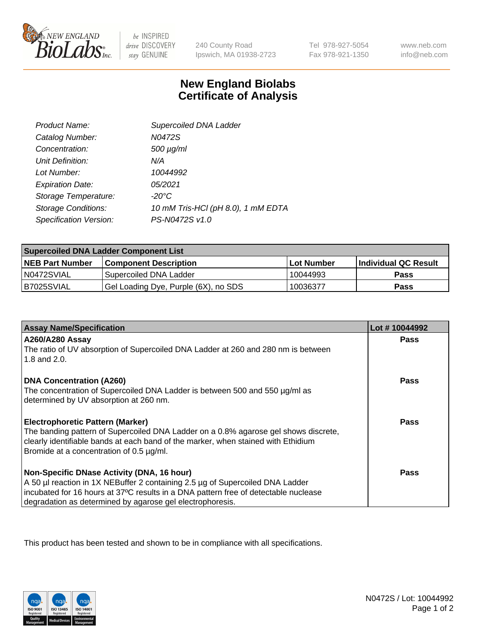

 $be$  INSPIRED drive DISCOVERY stay GENUINE

240 County Road Ipswich, MA 01938-2723

Tel 978-927-5054 Fax 978-921-1350

www.neb.com info@neb.com

## **New England Biolabs Certificate of Analysis**

| Product Name:              | Supercoiled DNA Ladder             |
|----------------------------|------------------------------------|
| Catalog Number:            | N0472S                             |
| Concentration:             | $500 \mu g/ml$                     |
| Unit Definition:           | N/A                                |
| Lot Number:                | 10044992                           |
| <b>Expiration Date:</b>    | 05/2021                            |
| Storage Temperature:       | $-20^{\circ}$ C                    |
| <b>Storage Conditions:</b> | 10 mM Tris-HCl (pH 8.0), 1 mM EDTA |
| Specification Version:     | PS-N0472S v1.0                     |

| <b>Supercoiled DNA Ladder Component List</b> |                                      |                   |                      |  |
|----------------------------------------------|--------------------------------------|-------------------|----------------------|--|
| <b>NEB Part Number</b>                       | <b>Component Description</b>         | <b>Lot Number</b> | Individual QC Result |  |
| N0472SVIAL                                   | Supercoiled DNA Ladder               | 10044993          | <b>Pass</b>          |  |
| B7025SVIAL                                   | Gel Loading Dye, Purple (6X), no SDS | 10036377          | <b>Pass</b>          |  |

| <b>Assay Name/Specification</b>                                                                                               | Lot #10044992 |
|-------------------------------------------------------------------------------------------------------------------------------|---------------|
| A260/A280 Assay                                                                                                               | <b>Pass</b>   |
| The ratio of UV absorption of Supercoiled DNA Ladder at 260 and 280 nm is between<br>1.8 and 2.0.                             |               |
| <b>DNA Concentration (A260)</b>                                                                                               | Pass          |
| The concentration of Supercoiled DNA Ladder is between 500 and 550 µg/ml as                                                   |               |
| determined by UV absorption at 260 nm.                                                                                        |               |
| <b>Electrophoretic Pattern (Marker)</b>                                                                                       | Pass          |
| The banding pattern of Supercoiled DNA Ladder on a 0.8% agarose gel shows discrete,                                           |               |
| clearly identifiable bands at each band of the marker, when stained with Ethidium<br>Bromide at a concentration of 0.5 µg/ml. |               |
|                                                                                                                               |               |
| Non-Specific DNase Activity (DNA, 16 hour)                                                                                    | Pass          |
| A 50 µl reaction in 1X NEBuffer 2 containing 2.5 µg of Supercoiled DNA Ladder                                                 |               |
| incubated for 16 hours at 37°C results in a DNA pattern free of detectable nuclease                                           |               |
| degradation as determined by agarose gel electrophoresis.                                                                     |               |

This product has been tested and shown to be in compliance with all specifications.